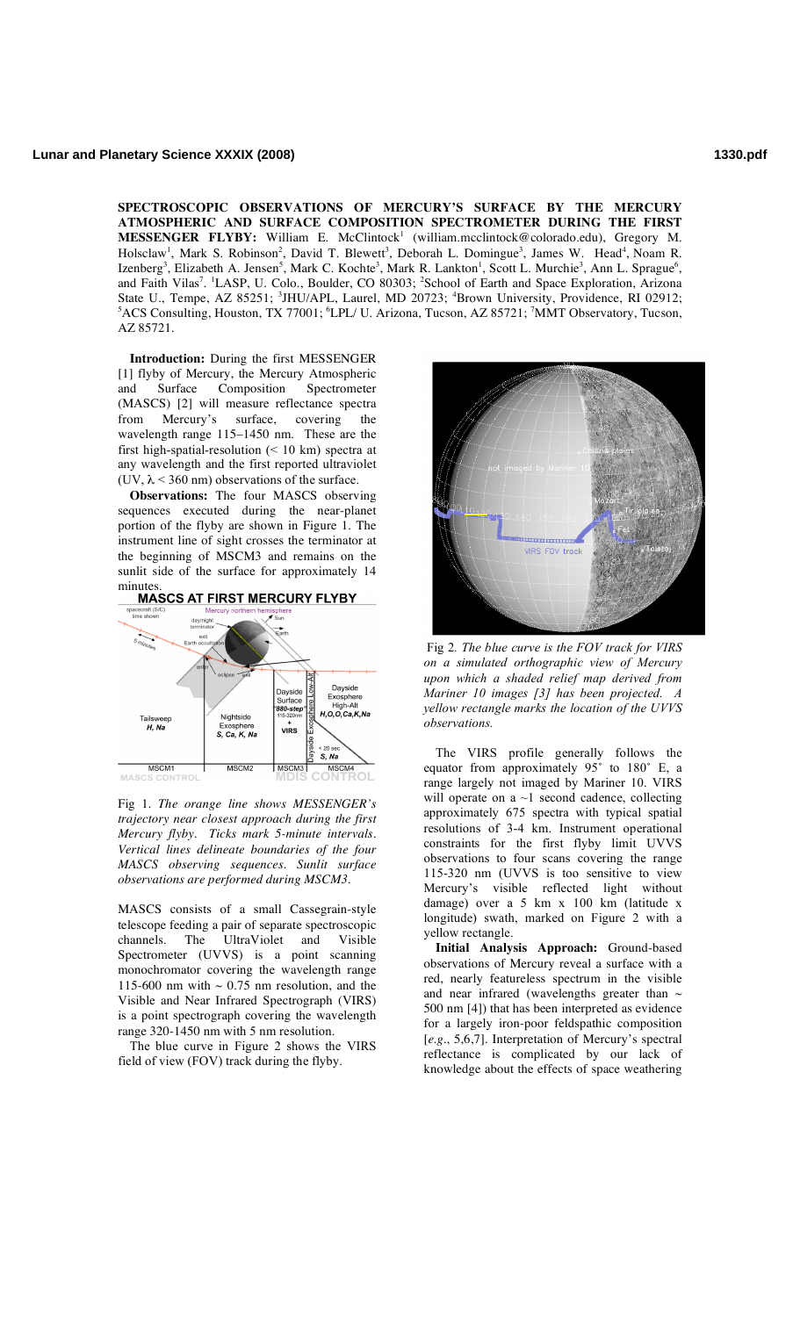**SPECTROSCOPIC OBSERVATIONS OF MERCURY'S SURFACE BY THE MERCURY ATMOSPHERIC AND SURFACE COMPOSITION SPECTROMETER DURING THE FIRST MESSENGER FLYBY:** William E. McClintock<sup>1</sup> (william.mcclintock@colorado.edu), Gregory M. Holsclaw<sup>1</sup>, Mark S. Robinson<sup>2</sup>, David T. Blewett<sup>3</sup>, Deborah L. Domingue<sup>3</sup>, James W. Head<sup>4</sup>, Noam R. Izenberg<sup>3</sup>, Elizabeth A. Jensen<sup>5</sup>, Mark C. Kochte<sup>3</sup>, Mark R. Lankton<sup>1</sup>, Scott L. Murchie<sup>3</sup>, Ann L. Sprague<sup>6</sup>, and Faith Vilas<sup>7</sup>. <sup>1</sup>LASP, U. Colo., Boulder, CO 80303; <sup>2</sup>School of Earth and Space Exploration, Arizona State U., Tempe, AZ 85251; <sup>3</sup>JHU/APL, Laurel, MD 20723; <sup>4</sup>Brown University, Providence, RI 02912; <sup>5</sup>ACS Consulting, Houston, TX 77001; <sup>6</sup>LPL/ U. Arizona, Tucson, AZ 85721; <sup>7</sup>MMT Observatory, Tucson, AZ 85721.

**Introduction:** During the first MESSENGER [1] flyby of Mercury, the Mercury Atmospheric and Surface Composition Spectrometer (MASCS) [2] will measure reflectance spectra from Mercury's surface, covering the wavelength range 115–1450 nm. These are the first high-spatial-resolution  $(< 10 \text{ km})$  spectra at any wavelength and the first reported ultraviolet (UV,  $\lambda$  < 360 nm) observations of the surface.

**Observations:** The four MASCS observing sequences executed during the near-planet portion of the flyby are shown in Figure 1. The instrument line of sight crosses the terminator at the beginning of MSCM3 and remains on the sunlit side of the surface for approximately 14



Fig 1. *The orange line shows MESSENGER's trajectory near closest approach during the first Mercury flyby. Ticks mark 5-minute intervals. Vertical lines delineate boundaries of the four MASCS observing sequences. Sunlit surface observations are performed during MSCM3.*

MASCS consists of a small Cassegrain-style telescope feeding a pair of separate spectroscopic channels. The UltraViolet and Visible Spectrometer (UVVS) is a point scanning monochromator covering the wavelength range 115-600 nm with  $\sim 0.75$  nm resolution, and the Visible and Near Infrared Spectrograph (VIRS) is a point spectrograph covering the wavelength range 320-1450 nm with 5 nm resolution.

The blue curve in Figure 2 shows the VIRS field of view (FOV) track during the flyby.



Fig 2*. The blue curve is the FOV track for VIRS on a simulated orthographic view of Mercury upon which a shaded relief map derived from Mariner 10 images [3] has been projected. A yellow rectangle marks the location of the UVVS observations.*

The VIRS profile generally follows the equator from approximately 95˚ to 180˚ E, a range largely not imaged by Mariner 10. VIRS will operate on a  $\sim$ 1 second cadence, collecting approximately 675 spectra with typical spatial resolutions of 3-4 km. Instrument operational constraints for the first flyby limit UVVS observations to four scans covering the range 115-320 nm (UVVS is too sensitive to view Mercury's visible reflected light without damage) over a 5 km x 100 km (latitude x longitude) swath, marked on Figure 2 with a yellow rectangle.

**Initial Analysis Approach:** Ground-based observations of Mercury reveal a surface with a red, nearly featureless spectrum in the visible and near infrared (wavelengths greater than  $\sim$ 500 nm [4]) that has been interpreted as evidence for a largely iron-poor feldspathic composition [*e.g*., 5,6,7]. Interpretation of Mercury's spectral reflectance is complicated by our lack of knowledge about the effects of space weathering